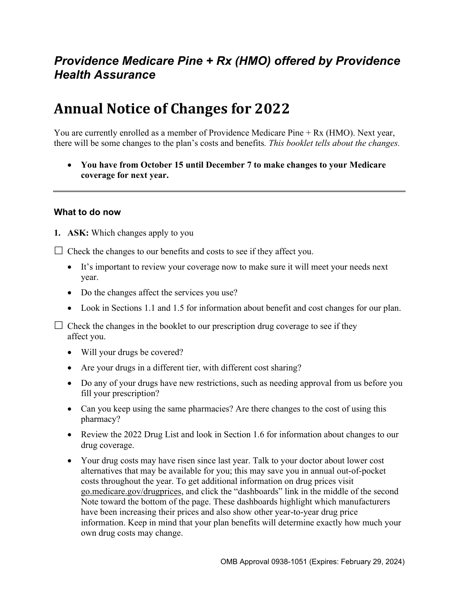# *Providence Medicare Pine + Rx (HMO) offered by Providence Health Assurance*

# **Annual Notice of Changes for 2022**

You are currently enrolled as a member of Providence Medicare Pine + Rx (HMO). Next year, there will be some changes to the plan's costs and benefits*. This booklet tells about the changes.* 

 **You have from October 15 until December 7 to make changes to your Medicare coverage for next year.**

#### **What to do now**

**1. ASK:** Which changes apply to you

 $\Box$  Check the changes to our benefits and costs to see if they affect you.

- It's important to review your coverage now to make sure it will meet your needs next year.
- Do the changes affect the services you use?
- Look in Sections 1.1 and 1.5 for information about benefit and cost changes for our plan.

 $\Box$  Check the changes in the booklet to our prescription drug coverage to see if they affect you.

- Will your drugs be covered?
- Are your drugs in a different tier, with different cost sharing?
- Do any of your drugs have new restrictions, such as needing approval from us before you fill your prescription?
- Can you keep using the same pharmacies? Are there changes to the cost of using this pharmacy?
- Review the 2022 Drug List and look in Section 1.6 for information about changes to our drug coverage.
- Your drug costs may have risen since last year. Talk to your doctor about lower cost alternatives that may be available for you; this may save you in annual out-of-pocket costs throughout the year. To get additional information on drug prices visit [go.medicare.gov/drugprices,](https://go.medicare.gov/drugprices) and click the "dashboards" link in the middle of the second Note toward the bottom of the page. These dashboards highlight which manufacturers have been increasing their prices and also show other year-to-year drug price information. Keep in mind that your plan benefits will determine exactly how much your own drug costs may change.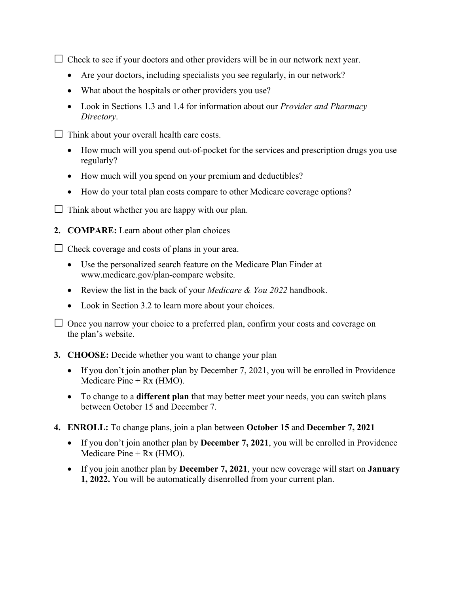$\Box$  Check to see if your doctors and other providers will be in our network next year.

- Are your doctors, including specialists you see regularly, in our network?
- What about the hospitals or other providers you use?
- Look in Sections 1.3 and 1.4 for information about our *Provider and Pharmacy Directory*.
- $\Box$  Think about your overall health care costs.
	- How much will you spend out-of-pocket for the services and prescription drugs you use regularly?
	- How much will you spend on your premium and deductibles?
	- How do your total plan costs compare to other Medicare coverage options?
- $\Box$  Think about whether you are happy with our plan.
- **2. COMPARE:** Learn about other plan choices

 $\Box$  Check coverage and costs of plans in your area.

- Use the personalized search feature on the Medicare Plan Finder at [www.medicare.gov/plan-compare](http://www.medicare.gov/plan-compare) website.
- Review the list in the back of your *Medicare & You 2022* handbook.
- Look in Section 3.2 to learn more about your choices.

 $\Box$  Once you narrow your choice to a preferred plan, confirm your costs and coverage on the plan's website.

#### **3. CHOOSE:** Decide whether you want to change your plan

- If you don't join another plan by December 7, 2021, you will be enrolled in Providence Medicare  $Pine + Rx$  (HMO).
- To change to a **different plan** that may better meet your needs, you can switch plans between October 15 and December 7.
- **4. ENROLL:** To change plans, join a plan between **October 15** and **December 7, 2021** 
	- If you don't join another plan by **December 7, 2021**, you will be enrolled in Providence Medicare Pine + Rx (HMO).
	- If you join another plan by **December 7, 2021**, your new coverage will start on **January 1, 2022.** You will be automatically disenrolled from your current plan.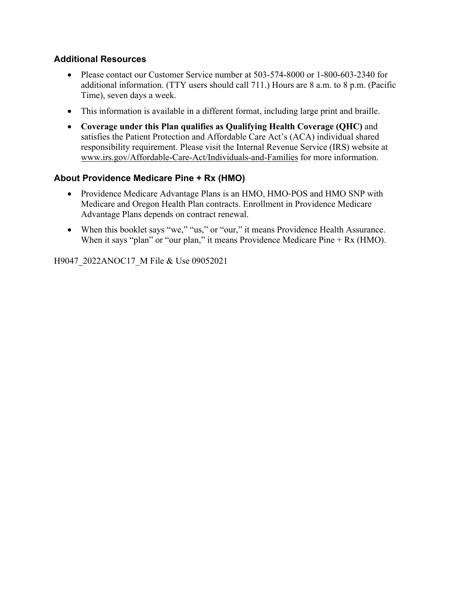### **Additional Resources**

- Please contact our Customer Service number at 503-574-8000 or 1-800-603-2340 for additional information. (TTY users should call 711.) Hours are 8 a.m. to 8 p.m. (Pacific Time), seven days a week.
- This information is available in a different format, including large print and braille.
- **Coverage under this Plan qualifies as Qualifying Health Coverage (QHC)** and satisfies the Patient Protection and Affordable Care Act's (ACA) individual shared responsibility requirement. Please visit the Internal Revenue Service (IRS) website at [www.irs.gov/Affordable-Care-Act/Individuals-and-Families](http://www.irs.gov/Affordable-Care-Act/Individuals-and-Families) for more information.

### **About Providence Medicare Pine + Rx (HMO)**

- Providence Medicare Advantage Plans is an HMO, HMO-POS and HMO SNP with Medicare and Oregon Health Plan contracts. Enrollment in Providence Medicare Advantage Plans depends on contract renewal.
- When this booklet says "we," "us," or "our," it means Providence Health Assurance. When it says "plan" or "our plan," it means Providence Medicare Pine + Rx (HMO).

H9047\_2022ANOC17\_M File & Use 09052021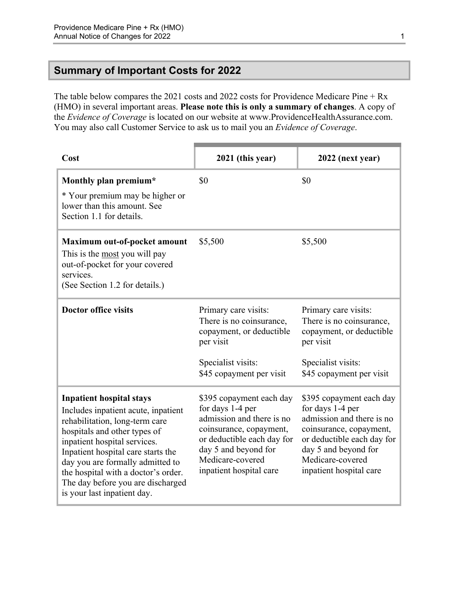### <span id="page-3-0"></span>**Summary of Important Costs for 2022**

The table below compares the 2021 costs and 2022 costs for Providence Medicare Pine + Rx (HMO) in several important areas. **Please note this is only a summary of changes**. A copy of the *Evidence of Coverage* is located on our website at [www.ProvidenceHealthAssurance.com](http://www.ProvidenceHealthAssurance.com). You may also call Customer Service to ask us to mail you an *Evidence of Coverage*.

| Cost                                                                                                                                                                                                                                                                                                                                                          | 2021 (this year)                                                                                                                                                                                          | 2022 (next year)                                                                                                                                                                                          |
|---------------------------------------------------------------------------------------------------------------------------------------------------------------------------------------------------------------------------------------------------------------------------------------------------------------------------------------------------------------|-----------------------------------------------------------------------------------------------------------------------------------------------------------------------------------------------------------|-----------------------------------------------------------------------------------------------------------------------------------------------------------------------------------------------------------|
| Monthly plan premium*<br>* Your premium may be higher or<br>lower than this amount. See<br>Section 1.1 for details.                                                                                                                                                                                                                                           | \$0                                                                                                                                                                                                       | \$0                                                                                                                                                                                                       |
| Maximum out-of-pocket amount<br>This is the most you will pay<br>out-of-pocket for your covered<br>services.<br>(See Section 1.2 for details.)                                                                                                                                                                                                                | \$5,500                                                                                                                                                                                                   | \$5,500                                                                                                                                                                                                   |
| <b>Doctor office visits</b>                                                                                                                                                                                                                                                                                                                                   | Primary care visits:<br>There is no coinsurance,<br>copayment, or deductible<br>per visit<br>Specialist visits:<br>\$45 copayment per visit                                                               | Primary care visits:<br>There is no coinsurance,<br>copayment, or deductible<br>per visit<br>Specialist visits:<br>\$45 copayment per visit                                                               |
| <b>Inpatient hospital stays</b><br>Includes inpatient acute, inpatient<br>rehabilitation, long-term care<br>hospitals and other types of<br>inpatient hospital services.<br>Inpatient hospital care starts the<br>day you are formally admitted to<br>the hospital with a doctor's order.<br>The day before you are discharged<br>is your last inpatient day. | \$395 copayment each day<br>for days 1-4 per<br>admission and there is no<br>coinsurance, copayment,<br>or deductible each day for<br>day 5 and beyond for<br>Medicare-covered<br>inpatient hospital care | \$395 copayment each day<br>for days 1-4 per<br>admission and there is no<br>coinsurance, copayment,<br>or deductible each day for<br>day 5 and beyond for<br>Medicare-covered<br>inpatient hospital care |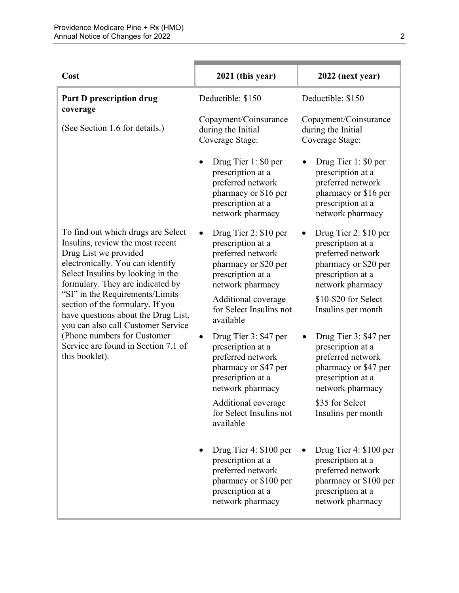| Cost                                                                                                                                                                                                         | 2021 (this year)                                                                                                                   | 2022 (next year)                                                                                                                   |
|--------------------------------------------------------------------------------------------------------------------------------------------------------------------------------------------------------------|------------------------------------------------------------------------------------------------------------------------------------|------------------------------------------------------------------------------------------------------------------------------------|
| Part D prescription drug                                                                                                                                                                                     | Deductible: \$150                                                                                                                  | Deductible: \$150                                                                                                                  |
| coverage<br>(See Section 1.6 for details.)                                                                                                                                                                   | Copayment/Coinsurance<br>during the Initial<br>Coverage Stage:                                                                     | Copayment/Coinsurance<br>during the Initial<br>Coverage Stage:                                                                     |
|                                                                                                                                                                                                              | Drug Tier 1: \$0 per<br>prescription at a<br>preferred network<br>pharmacy or \$16 per<br>prescription at a<br>network pharmacy    | Drug Tier 1: \$0 per<br>prescription at a<br>preferred network<br>pharmacy or \$16 per<br>prescription at a<br>network pharmacy    |
| To find out which drugs are Select<br>Insulins, review the most recent<br>Drug List we provided<br>electronically. You can identify<br>Select Insulins by looking in the<br>formulary. They are indicated by | Drug Tier 2: \$10 per<br>prescription at a<br>preferred network<br>pharmacy or \$20 per<br>prescription at a<br>network pharmacy   | Drug Tier 2: \$10 per<br>prescription at a<br>preferred network<br>pharmacy or \$20 per<br>prescription at a<br>network pharmacy   |
| "SI" in the Requirements/Limits<br>section of the formulary. If you<br>have questions about the Drug List,<br>you can also call Customer Service                                                             | Additional coverage<br>for Select Insulins not<br>available                                                                        | \$10-\$20 for Select<br>Insulins per month                                                                                         |
| (Phone numbers for Customer<br>Service are found in Section 7.1 of<br>this booklet).                                                                                                                         | Drug Tier 3: \$47 per<br>prescription at a<br>preferred network<br>pharmacy or \$47 per<br>prescription at a<br>network pharmacy   | Drug Tier 3: \$47 per<br>prescription at a<br>preferred network<br>pharmacy or \$47 per<br>prescription at a<br>network pharmacy   |
|                                                                                                                                                                                                              | Additional coverage<br>for Select Insulins not<br>available                                                                        | \$35 for Select<br>Insulins per month                                                                                              |
|                                                                                                                                                                                                              | Drug Tier 4: \$100 per<br>prescription at a<br>preferred network<br>pharmacy or \$100 per<br>prescription at a<br>network pharmacy | Drug Tier 4: \$100 per<br>prescription at a<br>preferred network<br>pharmacy or \$100 per<br>prescription at a<br>network pharmacy |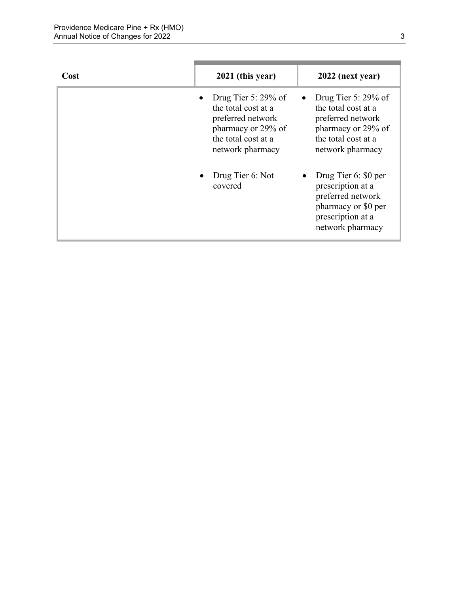| Cost | 2021 (this year)                                                                                                                    | 2022 (next year)                                                                                                                    |
|------|-------------------------------------------------------------------------------------------------------------------------------------|-------------------------------------------------------------------------------------------------------------------------------------|
|      | Drug Tier 5: $29\%$ of<br>the total cost at a<br>preferred network<br>pharmacy or 29% of<br>the total cost at a<br>network pharmacy | Drug Tier 5: $29\%$ of<br>the total cost at a<br>preferred network<br>pharmacy or 29% of<br>the total cost at a<br>network pharmacy |
|      | Drug Tier 6: Not<br>covered                                                                                                         | Drug Tier 6: \$0 per<br>prescription at a<br>preferred network<br>pharmacy or \$0 per<br>prescription at a<br>network pharmacy      |

п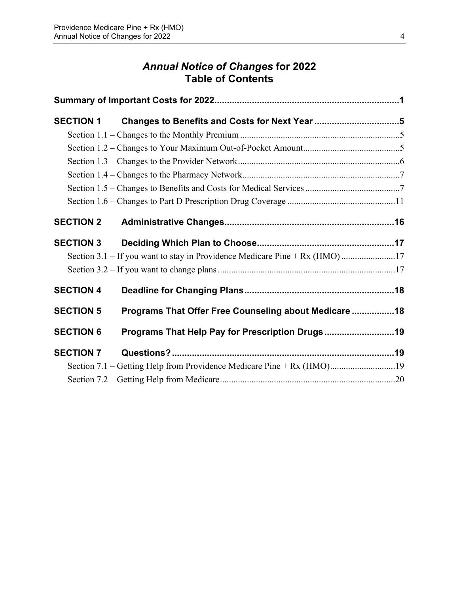# *Annual Notice of Changes* **for 2022 Table of Contents**

| <b>SECTION 1</b> |                                                                       |  |
|------------------|-----------------------------------------------------------------------|--|
|                  |                                                                       |  |
|                  |                                                                       |  |
|                  |                                                                       |  |
|                  |                                                                       |  |
|                  |                                                                       |  |
|                  |                                                                       |  |
| <b>SECTION 2</b> |                                                                       |  |
| <b>SECTION 3</b> |                                                                       |  |
|                  |                                                                       |  |
|                  |                                                                       |  |
| <b>SECTION 4</b> |                                                                       |  |
| <b>SECTION 5</b> | Programs That Offer Free Counseling about Medicare  18                |  |
| <b>SECTION 6</b> | Programs That Help Pay for Prescription Drugs19                       |  |
| <b>SECTION 7</b> |                                                                       |  |
|                  | Section 7.1 – Getting Help from Providence Medicare Pine + Rx (HMO)19 |  |
|                  |                                                                       |  |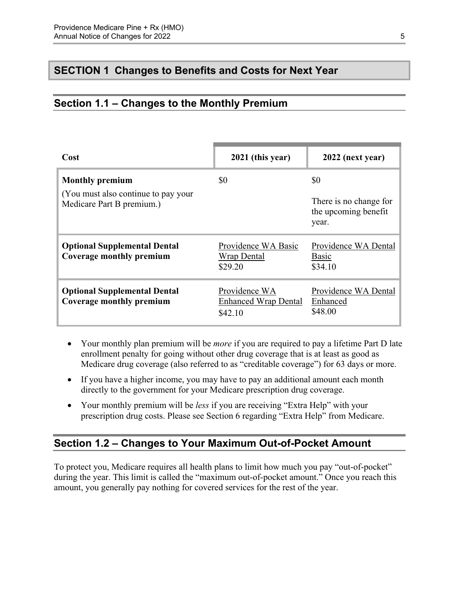## <span id="page-7-0"></span>**SECTION 1 Changes to Benefits and Costs for Next Year**

### <span id="page-7-1"></span>**Section 1.1 – Changes to the Monthly Premium**

| Cost                                                                                        | 2021 (this year)                                        | 2022 (next year)                                               |
|---------------------------------------------------------------------------------------------|---------------------------------------------------------|----------------------------------------------------------------|
| <b>Monthly premium</b><br>(You must also continue to pay your)<br>Medicare Part B premium.) | \$0                                                     | \$0<br>There is no change for<br>the upcoming benefit<br>year. |
| <b>Optional Supplemental Dental</b><br>Coverage monthly premium                             | Providence WA Basic<br><b>Wrap Dental</b><br>\$29.20    | Providence WA Dental<br>Basic<br>\$34.10                       |
| <b>Optional Supplemental Dental</b><br>Coverage monthly premium                             | Providence WA<br><b>Enhanced Wrap Dental</b><br>\$42.10 | Providence WA Dental<br>Enhanced<br>\$48.00                    |

- Your monthly plan premium will be *more* if you are required to pay a lifetime Part D late enrollment penalty for going without other drug coverage that is at least as good as Medicare drug coverage (also referred to as "creditable coverage") for 63 days or more.
- If you have a higher income, you may have to pay an additional amount each month directly to the government for your Medicare prescription drug coverage.
- Your monthly premium will be *less* if you are receiving "Extra Help" with your prescription drug costs. Please see Section 6 regarding "Extra Help" from Medicare.

### <span id="page-7-2"></span>**Section 1.2 – Changes to Your Maximum Out-of-Pocket Amount**

 amount, you generally pay nothing for covered services for the rest of the year. To protect you, Medicare requires all health plans to limit how much you pay "out-of-pocket" during the year. This limit is called the "maximum out-of-pocket amount." Once you reach this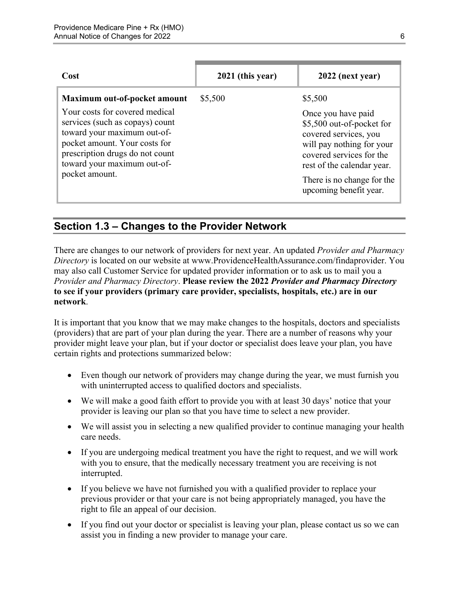| Cost                                                                                                                                                                                                                  | 2021 (this year) | 2022 (next year)                                                                                                                                                                                                        |
|-----------------------------------------------------------------------------------------------------------------------------------------------------------------------------------------------------------------------|------------------|-------------------------------------------------------------------------------------------------------------------------------------------------------------------------------------------------------------------------|
| Maximum out-of-pocket amount                                                                                                                                                                                          | \$5,500          | \$5,500                                                                                                                                                                                                                 |
| Your costs for covered medical<br>services (such as copays) count<br>toward your maximum out-of-<br>pocket amount. Your costs for<br>prescription drugs do not count<br>toward your maximum out-of-<br>pocket amount. |                  | Once you have paid<br>\$5,500 out-of-pocket for<br>covered services, you<br>will pay nothing for your<br>covered services for the<br>rest of the calendar year.<br>There is no change for the<br>upcoming benefit year. |

## <span id="page-8-0"></span>**Section 1.3 – Changes to the Provider Network**

 **to see if your providers (primary care provider, specialists, hospitals, etc.) are in our**  There are changes to our network of providers for next year. An updated *Provider and Pharmacy Directory* is located on our website at [www.ProvidenceHealthAssurance.com/findaprovider.](http://www.ProvidenceHealthAssurance.com/findaprovider) You may also call Customer Service for updated provider information or to ask us to mail you a *Provider and Pharmacy Directory*. **Please review the 2022** *Provider and Pharmacy Directory*  **network**.

It is important that you know that we may make changes to the hospitals, doctors and specialists (providers) that are part of your plan during the year. There are a number of reasons why your provider might leave your plan, but if your doctor or specialist does leave your plan, you have certain rights and protections summarized below:

- Even though our network of providers may change during the year, we must furnish you with uninterrupted access to qualified doctors and specialists.
- We will make a good faith effort to provide you with at least 30 days' notice that your provider is leaving our plan so that you have time to select a new provider.
- We will assist you in selecting a new qualified provider to continue managing your health care needs.
- If you are undergoing medical treatment you have the right to request, and we will work with you to ensure, that the medically necessary treatment you are receiving is not interrupted.
- If you believe we have not furnished you with a qualified provider to replace your previous provider or that your care is not being appropriately managed, you have the right to file an appeal of our decision.
- If you find out your doctor or specialist is leaving your plan, please contact us so we can assist you in finding a new provider to manage your care.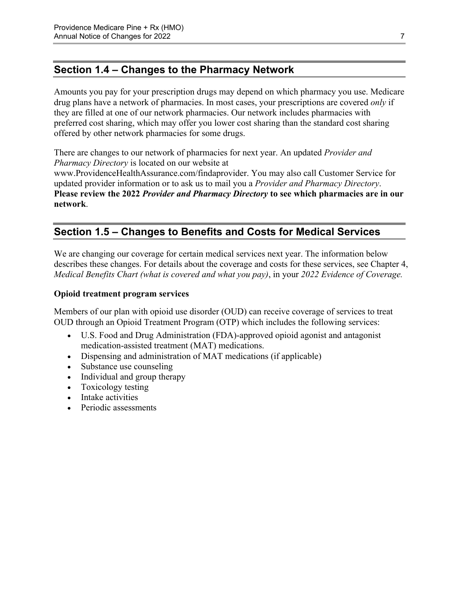## <span id="page-9-0"></span>**Section 1.4 – Changes to the Pharmacy Network**

Amounts you pay for your prescription drugs may depend on which pharmacy you use. Medicare drug plans have a network of pharmacies. In most cases, your prescriptions are covered *only* if they are filled at one of our network pharmacies. Our network includes pharmacies with preferred cost sharing, which may offer you lower cost sharing than the standard cost sharing offered by other network pharmacies for some drugs.

There are changes to our network of pharmacies for next year. An updated *Provider and Pharmacy Directory* is located on our website at [www.ProvidenceHealthAssurance.com/findaprovider](http://www.ProvidenceHealthAssurance.com/findaprovider). You may also call Customer Service for updated provider information or to ask us to mail you a *Provider and Pharmacy Directory*. **Please review the 2022** *Provider and Pharmacy Directory* **to see which pharmacies are in our network**.

# <span id="page-9-1"></span>**Section 1.5 – Changes to Benefits and Costs for Medical Services**

We are changing our coverage for certain medical services next year. The information below describes these changes. For details about the coverage and costs for these services, see Chapter 4, *Medical Benefits Chart (what is covered and what you pay)*, in your *2022 Evidence of Coverage.* 

#### **Opioid treatment program services**

Members of our plan with opioid use disorder (OUD) can receive coverage of services to treat OUD through an Opioid Treatment Program (OTP) which includes the following services:

- U.S. Food and Drug Administration (FDA)-approved opioid agonist and antagonist medication-assisted treatment (MAT) medications.
- Dispensing and administration of MAT medications (if applicable)
- Substance use counseling
- Individual and group therapy
- Toxicology testing
- Intake activities
- Periodic assessments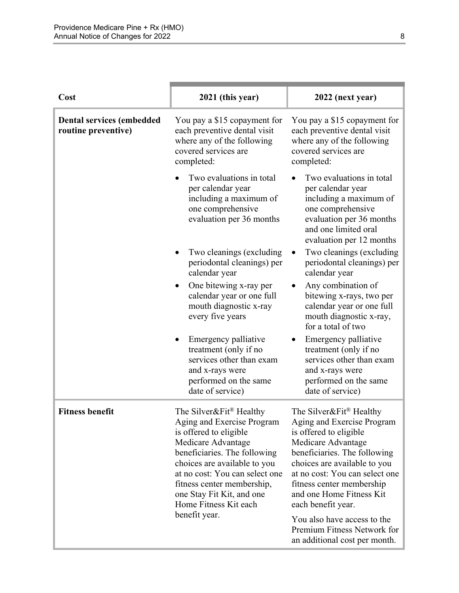| Cost                                                    | 2021 (this year)                                                                                                                                                                                                                                                                                                         | 2022 (next year)                                                                                                                                                                                                                                                                                                      |
|---------------------------------------------------------|--------------------------------------------------------------------------------------------------------------------------------------------------------------------------------------------------------------------------------------------------------------------------------------------------------------------------|-----------------------------------------------------------------------------------------------------------------------------------------------------------------------------------------------------------------------------------------------------------------------------------------------------------------------|
| <b>Dental services (embedded</b><br>routine preventive) | You pay a \$15 copayment for<br>each preventive dental visit<br>where any of the following<br>covered services are<br>completed:                                                                                                                                                                                         | You pay a \$15 copayment for<br>each preventive dental visit<br>where any of the following<br>covered services are<br>completed:                                                                                                                                                                                      |
|                                                         | Two evaluations in total<br>per calendar year<br>including a maximum of<br>one comprehensive<br>evaluation per 36 months                                                                                                                                                                                                 | Two evaluations in total<br>per calendar year<br>including a maximum of<br>one comprehensive<br>evaluation per 36 months<br>and one limited oral<br>evaluation per 12 months                                                                                                                                          |
|                                                         | Two cleanings (excluding)<br>periodontal cleanings) per<br>calendar year                                                                                                                                                                                                                                                 | Two cleanings (excluding<br>periodontal cleanings) per<br>calendar year                                                                                                                                                                                                                                               |
|                                                         | One bitewing x-ray per<br>calendar year or one full<br>mouth diagnostic x-ray<br>every five years                                                                                                                                                                                                                        | Any combination of<br>bitewing x-rays, two per<br>calendar year or one full<br>mouth diagnostic x-ray,<br>for a total of two                                                                                                                                                                                          |
|                                                         | Emergency palliative<br>treatment (only if no<br>services other than exam<br>and x-rays were<br>performed on the same<br>date of service)                                                                                                                                                                                | Emergency palliative<br>treatment (only if no<br>services other than exam<br>and x-rays were<br>performed on the same<br>date of service)                                                                                                                                                                             |
| <b>Fitness benefit</b>                                  | The Silver&Fit <sup>®</sup> Healthy<br>Aging and Exercise Program<br>is offered to eligible<br>Medicare Advantage<br>beneficiaries. The following<br>choices are available to you<br>at no cost: You can select one<br>fitness center membership,<br>one Stay Fit Kit, and one<br>Home Fitness Kit each<br>benefit year. | The Silver&Fit® Healthy<br>Aging and Exercise Program<br>is offered to eligible<br>Medicare Advantage<br>beneficiaries. The following<br>choices are available to you<br>at no cost: You can select one<br>fitness center membership<br>and one Home Fitness Kit<br>each benefit year.<br>You also have access to the |
|                                                         |                                                                                                                                                                                                                                                                                                                          | Premium Fitness Network for<br>an additional cost per month.                                                                                                                                                                                                                                                          |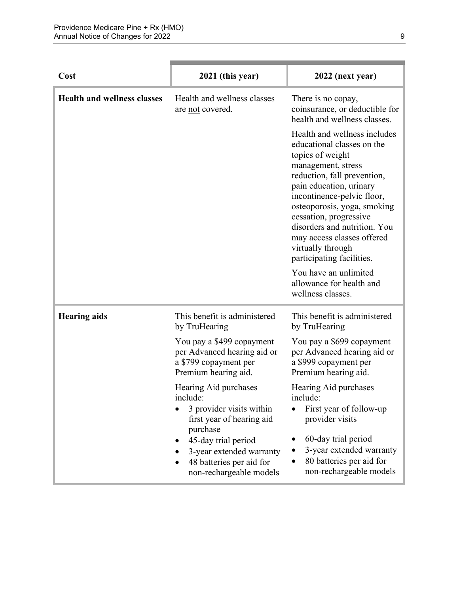| Cost                               | 2021 (this year)                                                                                                   | 2022 (next year)                                                                                                                                                                                                                                                                                                                                                      |
|------------------------------------|--------------------------------------------------------------------------------------------------------------------|-----------------------------------------------------------------------------------------------------------------------------------------------------------------------------------------------------------------------------------------------------------------------------------------------------------------------------------------------------------------------|
| <b>Health and wellness classes</b> | Health and wellness classes<br>are not covered.                                                                    | There is no copay,<br>coinsurance, or deductible for<br>health and wellness classes.                                                                                                                                                                                                                                                                                  |
|                                    |                                                                                                                    | Health and wellness includes<br>educational classes on the<br>topics of weight<br>management, stress<br>reduction, fall prevention,<br>pain education, urinary<br>incontinence-pelvic floor,<br>osteoporosis, yoga, smoking<br>cessation, progressive<br>disorders and nutrition. You<br>may access classes offered<br>virtually through<br>participating facilities. |
|                                    |                                                                                                                    | You have an unlimited<br>allowance for health and<br>wellness classes.                                                                                                                                                                                                                                                                                                |
| <b>Hearing aids</b>                | This benefit is administered<br>by TruHearing                                                                      | This benefit is administered<br>by TruHearing                                                                                                                                                                                                                                                                                                                         |
|                                    | You pay a \$499 copayment<br>per Advanced hearing aid or<br>a \$799 copayment per<br>Premium hearing aid.          | You pay a \$699 copayment<br>per Advanced hearing aid or<br>a \$999 copayment per<br>Premium hearing aid.                                                                                                                                                                                                                                                             |
|                                    | Hearing Aid purchases<br>include:<br>3 provider visits within<br>first year of hearing aid                         | Hearing Aid purchases<br>include:<br>First year of follow-up<br>provider visits                                                                                                                                                                                                                                                                                       |
|                                    | purchase<br>45-day trial period<br>3-year extended warranty<br>48 batteries per aid for<br>non-rechargeable models | 60-day trial period<br>3-year extended warranty<br>80 batteries per aid for<br>non-rechargeable models                                                                                                                                                                                                                                                                |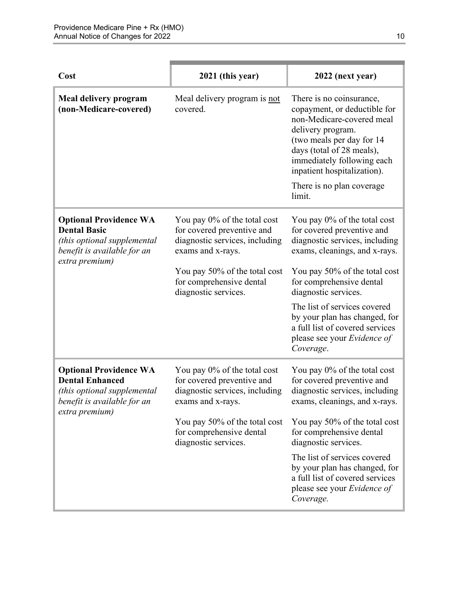| Cost                                                                                                                                    | 2021 (this year)                                                                                                                                                                                       | 2022 (next year)                                                                                                                                                                                                                                                                                                                                                   |
|-----------------------------------------------------------------------------------------------------------------------------------------|--------------------------------------------------------------------------------------------------------------------------------------------------------------------------------------------------------|--------------------------------------------------------------------------------------------------------------------------------------------------------------------------------------------------------------------------------------------------------------------------------------------------------------------------------------------------------------------|
| Meal delivery program<br>(non-Medicare-covered)                                                                                         | Meal delivery program is not<br>covered.                                                                                                                                                               | There is no coinsurance,<br>copayment, or deductible for<br>non-Medicare-covered meal<br>delivery program.<br>(two meals per day for 14)<br>days (total of 28 meals),<br>immediately following each<br>inpatient hospitalization).<br>There is no plan coverage.<br>limit.                                                                                         |
| <b>Optional Providence WA</b><br><b>Dental Basic</b><br>(this optional supplemental<br>benefit is available for an<br>extra premium)    | You pay 0% of the total cost<br>for covered preventive and<br>diagnostic services, including<br>exams and x-rays.<br>You pay 50% of the total cost<br>for comprehensive dental<br>diagnostic services. | You pay 0% of the total cost<br>for covered preventive and<br>diagnostic services, including<br>exams, cleanings, and x-rays.<br>You pay 50% of the total cost<br>for comprehensive dental<br>diagnostic services.<br>The list of services covered<br>by your plan has changed, for<br>a full list of covered services<br>please see your Evidence of<br>Coverage. |
| <b>Optional Providence WA</b><br><b>Dental Enhanced</b><br>(this optional supplemental<br>benefit is available for an<br>extra premium) | You pay 0% of the total cost<br>for covered preventive and<br>diagnostic services, including<br>exams and x-rays.<br>You pay 50% of the total cost<br>for comprehensive dental<br>diagnostic services. | You pay 0% of the total cost<br>for covered preventive and<br>diagnostic services, including<br>exams, cleanings, and x-rays.<br>You pay 50% of the total cost<br>for comprehensive dental<br>diagnostic services.<br>The list of services covered<br>by your plan has changed, for<br>a full list of covered services<br>please see your Evidence of<br>Coverage. |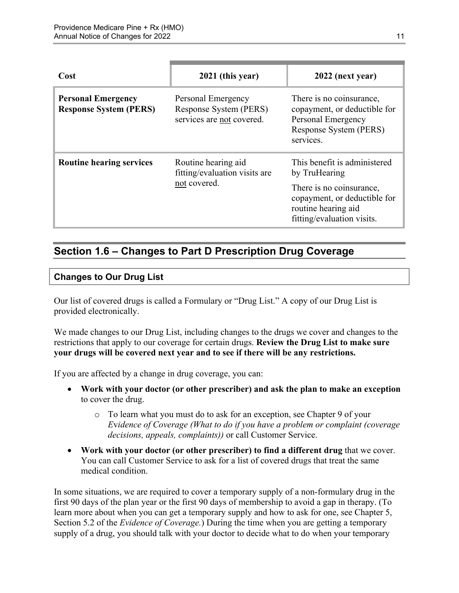| Cost                                                       | 2021 (this year)                                                          | 2022 (next year)                                                                                                                                               |
|------------------------------------------------------------|---------------------------------------------------------------------------|----------------------------------------------------------------------------------------------------------------------------------------------------------------|
| <b>Personal Emergency</b><br><b>Response System (PERS)</b> | Personal Emergency<br>Response System (PERS)<br>services are not covered. | There is no coinsurance,<br>copayment, or deductible for<br>Personal Emergency<br>Response System (PERS)<br>services.                                          |
| <b>Routine hearing services</b>                            | Routine hearing aid<br>fitting/evaluation visits are<br>not covered.      | This benefit is administered<br>by TruHearing<br>There is no coinsurance,<br>copayment, or deductible for<br>routine hearing aid<br>fitting/evaluation visits. |

## <span id="page-13-0"></span>**Section 1.6 – Changes to Part D Prescription Drug Coverage**

### **Changes to Our Drug List**

Our list of covered drugs is called a Formulary or "Drug List." A copy of our Drug List is provided electronically.

We made changes to our Drug List, including changes to the drugs we cover and changes to the restrictions that apply to our coverage for certain drugs. **Review the Drug List to make sure your drugs will be covered next year and to see if there will be any restrictions.** 

If you are affected by a change in drug coverage, you can:

- **Work with your doctor (or other prescriber) and ask the plan to make an exception**  to cover the drug.
	- o To learn what you must do to ask for an exception, see Chapter 9 of your *E*v*idence of Coverage (What to do if you have a problem or complaint (coverage decisions, appeals, complaints))* or call Customer Service.
- **Work with your doctor (or other prescriber) to find a different drug** that we cover. You can call Customer Service to ask for a list of covered drugs that treat the same medical condition.

 Section 5.2 of the *Evidence of Coverage.*) During the time when you are getting a temporary In some situations, we are required to cover a temporary supply of a non-formulary drug in the first 90 days of the plan year or the first 90 days of membership to avoid a gap in therapy. (To learn more about when you can get a temporary supply and how to ask for one, see Chapter 5, supply of a drug, you should talk with your doctor to decide what to do when your temporary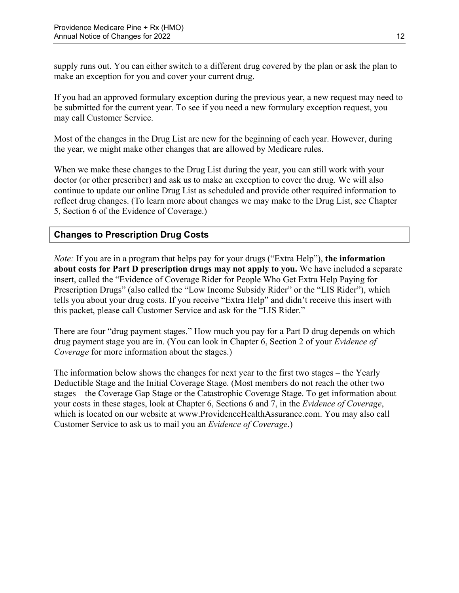supply runs out. You can either switch to a different drug covered by the plan or ask the plan to make an exception for you and cover your current drug.

If you had an approved formulary exception during the previous year, a new request may need to be submitted for the current year. To see if you need a new formulary exception request, you may call Customer Service.

Most of the changes in the Drug List are new for the beginning of each year. However, during the year, we might make other changes that are allowed by Medicare rules.

When we make these changes to the Drug List during the year, you can still work with your doctor (or other prescriber) and ask us to make an exception to cover the drug. We will also continue to update our online Drug List as scheduled and provide other required information to reflect drug changes. (To learn more about changes we may make to the Drug List, see Chapter 5, Section 6 of the Evidence of Coverage.)

### **Changes to Prescription Drug Costs**

*Note:* If you are in a program that helps pay for your drugs ("Extra Help"), **the information about costs for Part D prescription drugs may not apply to you.** We have included a separate insert, called the "Evidence of Coverage Rider for People Who Get Extra Help Paying for Prescription Drugs" (also called the "Low Income Subsidy Rider" or the "LIS Rider"), which tells you about your drug costs. If you receive "Extra Help" and didn't receive this insert with this packet, please call Customer Service and ask for the "LIS Rider."

There are four "drug payment stages." How much you pay for a Part D drug depends on which drug payment stage you are in. (You can look in Chapter 6, Section 2 of your *Evidence of Coverage* for more information about the stages.)

The information below shows the changes for next year to the first two stages – the Yearly Deductible Stage and the Initial Coverage Stage. (Most members do not reach the other two stages – the Coverage Gap Stage or the Catastrophic Coverage Stage. To get information about your costs in these stages, look at Chapter 6, Sections 6 and 7, in the *Evidence of Coverage*, which is located on our website at [www.ProvidenceHealthAssurance.com.](http://www.ProvidenceHealthAssurance.com) You may also call Customer Service to ask us to mail you an *Evidence of Coverage*.)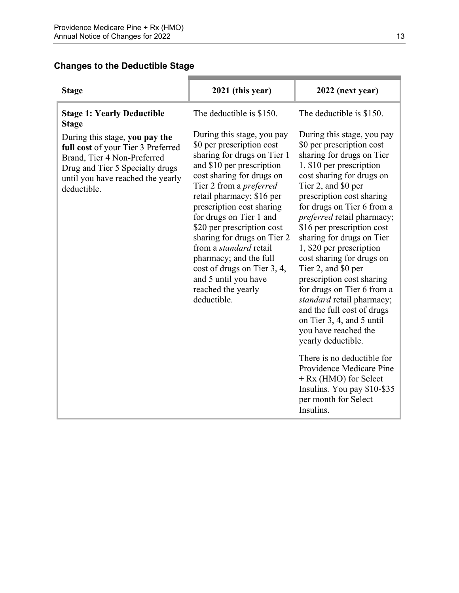### **Changes to the Deductible Stage**

| <b>Stage</b>                                                                                                                                                                               | 2021 (this year)                                                                                                                                                                                                                                                                                                                                                                                                                                                                            | 2022 (next year)                                                                                                                                                                                                                                                                                                                                                                                                                                                                                                                                                                                                                               |
|--------------------------------------------------------------------------------------------------------------------------------------------------------------------------------------------|---------------------------------------------------------------------------------------------------------------------------------------------------------------------------------------------------------------------------------------------------------------------------------------------------------------------------------------------------------------------------------------------------------------------------------------------------------------------------------------------|------------------------------------------------------------------------------------------------------------------------------------------------------------------------------------------------------------------------------------------------------------------------------------------------------------------------------------------------------------------------------------------------------------------------------------------------------------------------------------------------------------------------------------------------------------------------------------------------------------------------------------------------|
| <b>Stage 1: Yearly Deductible</b><br><b>Stage</b>                                                                                                                                          | The deductible is \$150.                                                                                                                                                                                                                                                                                                                                                                                                                                                                    | The deductible is \$150.                                                                                                                                                                                                                                                                                                                                                                                                                                                                                                                                                                                                                       |
| During this stage, you pay the<br>full cost of your Tier 3 Preferred<br>Brand, Tier 4 Non-Preferred<br>Drug and Tier 5 Specialty drugs<br>until you have reached the yearly<br>deductible. | During this stage, you pay<br>\$0 per prescription cost<br>sharing for drugs on Tier 1<br>and \$10 per prescription<br>cost sharing for drugs on<br>Tier 2 from a <i>preferred</i><br>retail pharmacy; \$16 per<br>prescription cost sharing<br>for drugs on Tier 1 and<br>\$20 per prescription cost<br>sharing for drugs on Tier 2<br>from a <i>standard</i> retail<br>pharmacy; and the full<br>cost of drugs on Tier 3, 4,<br>and 5 until you have<br>reached the yearly<br>deductible. | During this stage, you pay<br>\$0 per prescription cost<br>sharing for drugs on Tier<br>1, \$10 per prescription<br>cost sharing for drugs on<br>Tier 2, and \$0 per<br>prescription cost sharing<br>for drugs on Tier 6 from a<br><i>preferred</i> retail pharmacy;<br>\$16 per prescription cost<br>sharing for drugs on Tier<br>1, \$20 per prescription<br>cost sharing for drugs on<br>Tier 2, and \$0 per<br>prescription cost sharing<br>for drugs on Tier 6 from a<br>standard retail pharmacy;<br>and the full cost of drugs<br>on Tier 3, 4, and 5 until<br>you have reached the<br>yearly deductible.<br>There is no deductible for |
|                                                                                                                                                                                            |                                                                                                                                                                                                                                                                                                                                                                                                                                                                                             | Providence Medicare Pine<br>+ Rx (HMO) for Select<br>Insulins. You pay \$10-\$35<br>per month for Select<br>Insulins.                                                                                                                                                                                                                                                                                                                                                                                                                                                                                                                          |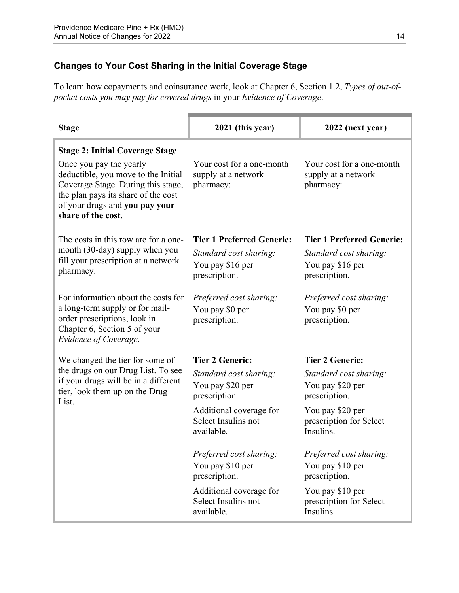### **Changes to Your Cost Sharing in the Initial Coverage Stage**

To learn how copayments and coinsurance work, look at Chapter 6, Section 1.2, *Types of out-ofpocket costs you may pay for covered drugs* in your *Evidence of Coverage*.

| <b>Stage</b>                                                                                                                                                                                        | 2021 (this year)                                              | 2022 (next year)                                              |
|-----------------------------------------------------------------------------------------------------------------------------------------------------------------------------------------------------|---------------------------------------------------------------|---------------------------------------------------------------|
| <b>Stage 2: Initial Coverage Stage</b>                                                                                                                                                              |                                                               |                                                               |
| Once you pay the yearly<br>deductible, you move to the Initial<br>Coverage Stage. During this stage,<br>the plan pays its share of the cost<br>of your drugs and you pay your<br>share of the cost. | Your cost for a one-month<br>supply at a network<br>pharmacy: | Your cost for a one-month<br>supply at a network<br>pharmacy: |
| The costs in this row are for a one-                                                                                                                                                                | <b>Tier 1 Preferred Generic:</b>                              | <b>Tier 1 Preferred Generic:</b>                              |
| month (30-day) supply when you                                                                                                                                                                      | Standard cost sharing:                                        | Standard cost sharing:                                        |
| fill your prescription at a network<br>pharmacy.                                                                                                                                                    | You pay \$16 per                                              | You pay \$16 per                                              |
|                                                                                                                                                                                                     | prescription.                                                 | prescription.                                                 |
| For information about the costs for                                                                                                                                                                 | Preferred cost sharing:                                       | Preferred cost sharing:                                       |
| a long-term supply or for mail-                                                                                                                                                                     | You pay \$0 per                                               | You pay \$0 per                                               |
| order prescriptions, look in<br>Chapter 6, Section 5 of your<br>Evidence of Coverage.                                                                                                               | prescription.                                                 | prescription.                                                 |
| We changed the tier for some of                                                                                                                                                                     | <b>Tier 2 Generic:</b>                                        | <b>Tier 2 Generic:</b>                                        |
| the drugs on our Drug List. To see                                                                                                                                                                  | Standard cost sharing:                                        | Standard cost sharing:                                        |
| if your drugs will be in a different<br>tier, look them up on the Drug                                                                                                                              | You pay \$20 per                                              | You pay \$20 per                                              |
| List.                                                                                                                                                                                               | prescription.                                                 | prescription.                                                 |
|                                                                                                                                                                                                     | Additional coverage for<br>Select Insulins not                | You pay \$20 per                                              |
|                                                                                                                                                                                                     | available.                                                    | prescription for Select<br>Insulins.                          |
|                                                                                                                                                                                                     | Preferred cost sharing:                                       | Preferred cost sharing:                                       |
|                                                                                                                                                                                                     | You pay \$10 per<br>prescription.                             | You pay \$10 per<br>prescription.                             |
|                                                                                                                                                                                                     | Additional coverage for                                       | You pay \$10 per                                              |
|                                                                                                                                                                                                     | Select Insulins not<br>available.                             | prescription for Select<br>Insulins.                          |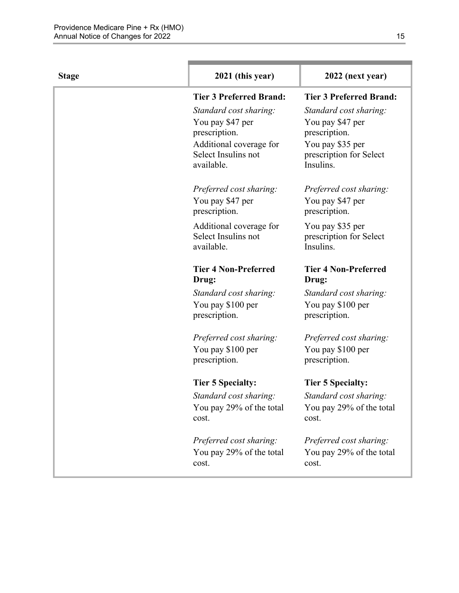| <b>Stage</b> | 2021 (this year)                                             | 2022 (next year)                                         |
|--------------|--------------------------------------------------------------|----------------------------------------------------------|
|              | <b>Tier 3 Preferred Brand:</b>                               | <b>Tier 3 Preferred Brand:</b>                           |
|              | Standard cost sharing:                                       | Standard cost sharing:                                   |
|              | You pay \$47 per                                             | You pay \$47 per                                         |
|              | prescription.                                                | prescription.                                            |
|              | Additional coverage for<br>Select Insulins not<br>available. | You pay \$35 per<br>prescription for Select<br>Insulins. |
|              | Preferred cost sharing:                                      | Preferred cost sharing:                                  |
|              | You pay \$47 per<br>prescription.                            | You pay \$47 per<br>prescription.                        |
|              | Additional coverage for<br>Select Insulins not<br>available. | You pay \$35 per<br>prescription for Select<br>Insulins. |
|              | <b>Tier 4 Non-Preferred</b><br>Drug:                         | <b>Tier 4 Non-Preferred</b><br>Drug:                     |
|              | Standard cost sharing:                                       | Standard cost sharing:                                   |
|              | You pay \$100 per<br>prescription.                           | You pay \$100 per<br>prescription.                       |
|              | Preferred cost sharing:                                      | Preferred cost sharing:                                  |
|              | You pay \$100 per<br>prescription.                           | You pay \$100 per<br>prescription.                       |
|              | <b>Tier 5 Specialty:</b>                                     | <b>Tier 5 Specialty:</b>                                 |
|              | Standard cost sharing:                                       | Standard cost sharing:                                   |
|              | You pay 29% of the total<br>cost.                            | You pay 29% of the total<br>cost.                        |
|              | Preferred cost sharing:                                      | Preferred cost sharing:                                  |
|              | You pay 29% of the total<br>cost.                            | You pay 29% of the total<br>cost.                        |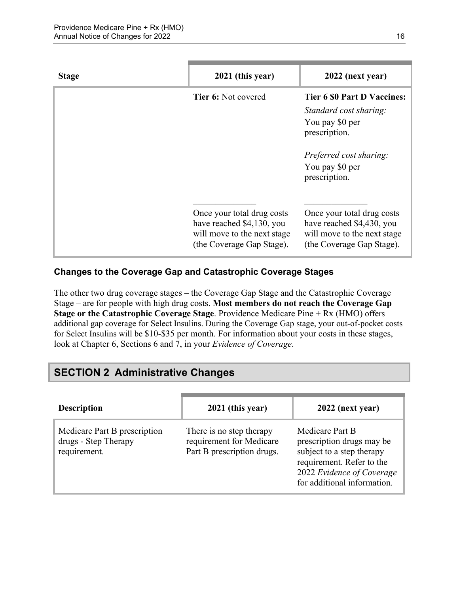| <b>Stage</b> | 2021 (this year)                                                                                                    | 2022 (next year)                                                                                                                                                |
|--------------|---------------------------------------------------------------------------------------------------------------------|-----------------------------------------------------------------------------------------------------------------------------------------------------------------|
|              | <b>Tier 6:</b> Not covered                                                                                          | <b>Tier 6 \$0 Part D Vaccines:</b><br>Standard cost sharing:<br>You pay \$0 per<br>prescription.<br>Preferred cost sharing:<br>You pay \$0 per<br>prescription. |
|              | Once your total drug costs<br>have reached \$4,130, you<br>will move to the next stage<br>(the Coverage Gap Stage). | Once your total drug costs<br>have reached \$4,430, you<br>will move to the next stage<br>(the Coverage Gap Stage).                                             |

### **Changes to the Coverage Gap and Catastrophic Coverage Stages**

The other two drug coverage stages – the Coverage Gap Stage and the Catastrophic Coverage Stage – are for people with high drug costs. **Most members do not reach the Coverage Gap Stage or the Catastrophic Coverage Stage**. Providence Medicare Pine + Rx (HMO) offers additional gap coverage for Select Insulins. During the Coverage Gap stage, your out-of-pocket costs for Select Insulins will be \$10-\$35 per month. For information about your costs in these stages, look at Chapter 6, Sections 6 and 7, in your *Evidence of Coverage*.

# <span id="page-18-0"></span>**SECTION 2 Administrative Changes**

| <b>Description</b>                                                   | 2021 (this year)                                                                   | 2022 (next year)                                                                                                                                                   |
|----------------------------------------------------------------------|------------------------------------------------------------------------------------|--------------------------------------------------------------------------------------------------------------------------------------------------------------------|
| Medicare Part B prescription<br>drugs - Step Therapy<br>requirement. | There is no step therapy<br>requirement for Medicare<br>Part B prescription drugs. | Medicare Part B<br>prescription drugs may be<br>subject to a step therapy<br>requirement. Refer to the<br>2022 Evidence of Coverage<br>for additional information. |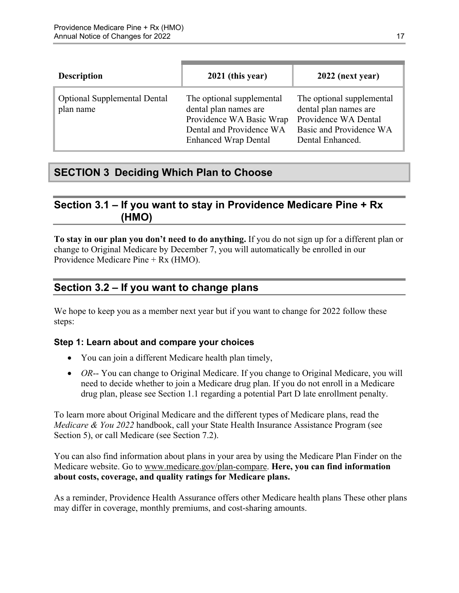| <b>Description</b>                               | 2021 (this year)                                                                                                                          | 2022 (next year)                                                                                                          |
|--------------------------------------------------|-------------------------------------------------------------------------------------------------------------------------------------------|---------------------------------------------------------------------------------------------------------------------------|
| <b>Optional Supplemental Dental</b><br>plan name | The optional supplemental<br>dental plan names are<br>Providence WA Basic Wrap<br>Dental and Providence WA<br><b>Enhanced Wrap Dental</b> | The optional supplemental<br>dental plan names are<br>Providence WA Dental<br>Basic and Providence WA<br>Dental Enhanced. |

# <span id="page-19-0"></span>**SECTION 3 Deciding Which Plan to Choose**

# <span id="page-19-1"></span>**Section 3.1 – If you want to stay in Providence Medicare Pine + Rx (HMO)**

**To stay in our plan you don't need to do anything.** If you do not sign up for a different plan or change to Original Medicare by December 7, you will automatically be enrolled in our Providence Medicare Pine + Rx (HMO).

# <span id="page-19-2"></span>**Section 3.2 – If you want to change plans**

We hope to keep you as a member next year but if you want to change for 2022 follow these steps:

### **Step 1: Learn about and compare your choices**

- You can join a different Medicare health plan timely,
- *OR*-- You can change to Original Medicare. If you change to Original Medicare, you will need to decide whether to join a Medicare drug plan. If you do not enroll in a Medicare drug plan, please see Section 1.1 regarding a potential Part D late enrollment penalty.

To learn more about Original Medicare and the different types of Medicare plans, read the *Medicare & You 2022* handbook, call your State Health Insurance Assistance Program (see Section 5), or call Medicare (see Section 7.2).

You can also find information about plans in your area by using the Medicare Plan Finder on the Medicare website. Go to [www.medicare.gov/plan-compare](http://www.medicare.gov/plan-compare). **Here, you can find information about costs, coverage, and quality ratings for Medicare plans.** 

As a reminder, Providence Health Assurance offers other Medicare health plans These other plans may differ in coverage, monthly premiums, and cost-sharing amounts.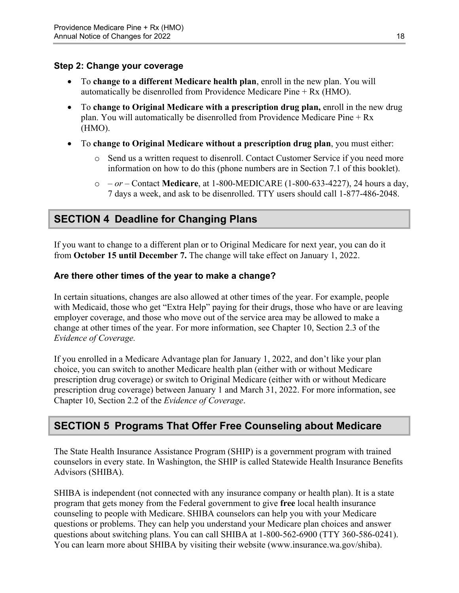#### **Step 2: Change your coverage**

- To **change to a different Medicare health plan**, enroll in the new plan. You will automatically be disenrolled from Providence Medicare Pine + Rx (HMO).
- To **change to Original Medicare with a prescription drug plan,** enroll in the new drug plan. You will automatically be disenrolled from Providence Medicare Pine + Rx (HMO).
- To **change to Original Medicare without a prescription drug plan**, you must either:
	- $\circ$  Send us a written request to disenroll. Contact Customer Service if you need more information on how to do this (phone numbers are in Section 7.1 of this booklet).
	- o  *or –* Contact **Medicare**, at 1-800-MEDICARE (1-800-633-4227), 24 hours a day, 7 days a week, and ask to be disenrolled. TTY users should call 1-877-486-2048.

# <span id="page-20-0"></span>**SECTION 4 Deadline for Changing Plans**

If you want to change to a different plan or to Original Medicare for next year, you can do it from **October 15 until December 7.** The change will take effect on January 1, 2022.

### **Are there other times of the year to make a change?**

In certain situations, changes are also allowed at other times of the year. For example, people with Medicaid, those who get "Extra Help" paying for their drugs, those who have or are leaving employer coverage, and those who move out of the service area may be allowed to make a change at other times of the year. For more information, see Chapter 10, Section 2.3 of the *Evidence of Coverage.* 

 Chapter 10, Section 2.2 of the *Evidence of Coverage*. If you enrolled in a Medicare Advantage plan for January 1, 2022, and don't like your plan choice, you can switch to another Medicare health plan (either with or without Medicare prescription drug coverage) or switch to Original Medicare (either with or without Medicare prescription drug coverage) between January 1 and March 31, 2022. For more information, see

# <span id="page-20-1"></span>**SECTION 5 Programs That Offer Free Counseling about Medicare**

The State Health Insurance Assistance Program (SHIP) is a government program with trained counselors in every state. In Washington, the SHIP is called Statewide Health Insurance Benefits Advisors (SHIBA).

 SHIBA is independent (not connected with any insurance company or health plan). It is a state program that gets money from the Federal government to give **free** local health insurance counseling to people with Medicare. SHIBA counselors can help you with your Medicare questions or problems. They can help you understand your Medicare plan choices and answer questions about switching plans. You can call SHIBA at 1-800-562-6900 (TTY 360-586-0241). You can learn more about SHIBA by visiting their website [\(www.insurance.wa.gov/shiba\)](http://www.insurance.wa.gov/shiba).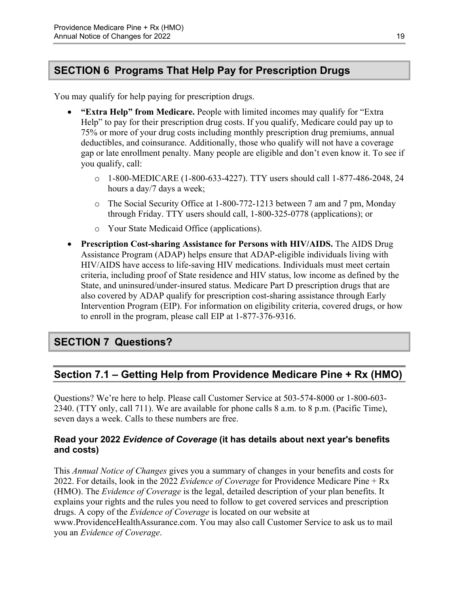# <span id="page-21-0"></span>**SECTION 6 Programs That Help Pay for Prescription Drugs**

You may qualify for help paying for prescription drugs.

- **"Extra Help" from Medicare.** People with limited incomes may qualify for "Extra Help" to pay for their prescription drug costs. If you qualify, Medicare could pay up to 75% or more of your drug costs including monthly prescription drug premiums, annual deductibles, and coinsurance. Additionally, those who qualify will not have a coverage gap or late enrollment penalty. Many people are eligible and don't even know it. To see if you qualify, call:
	- $\circ$  1-800-MEDICARE (1-800-633-4227). TTY users should call 1-877-486-2048, 24 hours a day/7 days a week;
	- $\circ$  The Social Security Office at 1-800-772-1213 between 7 am and 7 pm, Monday through Friday. TTY users should call, 1-800-325-0778 (applications); or
	- o Your State Medicaid Office (applications).
- **Prescription Cost-sharing Assistance for Persons with HIV/AIDS.** The AIDS Drug Assistance Program (ADAP) helps ensure that ADAP-eligible individuals living with HIV/AIDS have access to life-saving HIV medications. Individuals must meet certain criteria, including proof of State residence and HIV status, low income as defined by the State, and uninsured/under-insured status. Medicare Part D prescription drugs that are also covered by ADAP qualify for prescription cost-sharing assistance through Early Intervention Program (EIP). For information on eligibility criteria, covered drugs, or how to enroll in the program, please call EIP at 1-877-376-9316.

# <span id="page-21-1"></span>**SECTION 7 Questions?**

# <span id="page-21-2"></span>**Section 7.1 – Getting Help from Providence Medicare Pine + Rx (HMO)**

Questions? We're here to help. Please call Customer Service at 503-574-8000 or 1-800-603 2340. (TTY only, call 711). We are available for phone calls 8 a.m. to 8 p.m. (Pacific Time), seven days a week. Calls to these numbers are free.

### **Read your 2022** *Evidence of Coverage* **(it has details about next year's benefits and costs)**

This *Annual Notice of Changes* gives you a summary of changes in your benefits and costs for 2022. For details, look in the 2022 *Evidence of Coverage* for Providence Medicare Pine + Rx (HMO). The *Evidence of Coverage* is the legal, detailed description of your plan benefits. It explains your rights and the rules you need to follow to get covered services and prescription drugs. A copy of the *Evidence of Coverage* is located on our website at [www.ProvidenceHealthAssurance.com.](http://www.ProvidenceHealthAssurance.com) You may also call Customer Service to ask us to mail you an *Evidence of Coverage*.